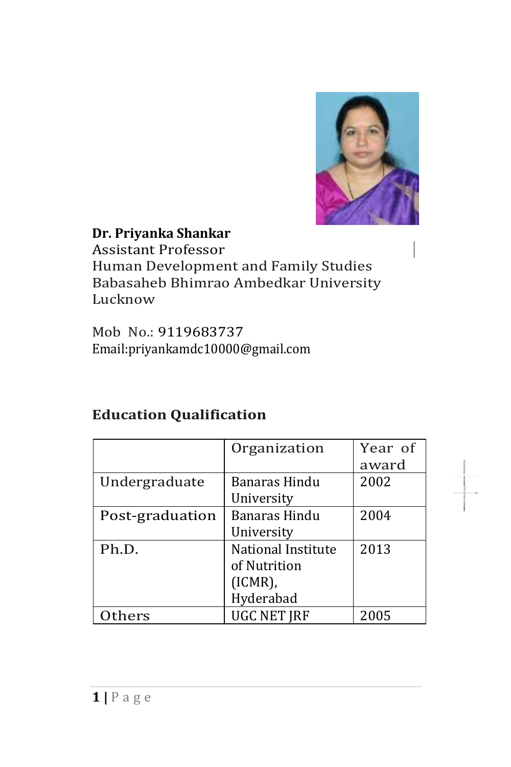

# **Dr. Priyanka Shankar**

Assistant Professor Human Development and Family Studies Babasaheb Bhimrao Ambedkar University Lucknow

Mob No.: 9119683737 Email:priyankamdc10000@gmail.com

#### **Education Qualification**

|                 | Organization       | Year of |
|-----------------|--------------------|---------|
|                 |                    | award   |
| Undergraduate   | Banaras Hindu      | 2002    |
|                 | University         |         |
| Post-graduation | Banaras Hindu      | 2004    |
|                 | University         |         |
| Ph.D.           | National Institute | 2013    |
|                 | of Nutrition       |         |
|                 | $(ICMR)$ ,         |         |
|                 | Hyderabad          |         |
| hers            | <b>UGC NET JRF</b> | 2005    |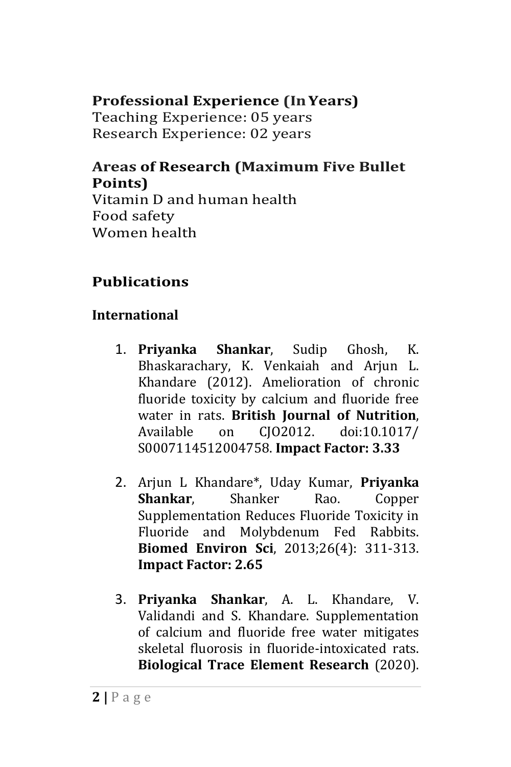# **Professional Experience (InYears)**

Teaching Experience: 05 years Research Experience: 02 years

## **Areas of Research (Maximum Five Bullet Points)**

Vitamin D and human health Food safety Women health

# **Publications**

# **International**

- 1. **Priyanka Shankar**, Sudip Ghosh, K. Bhaskarachary, K. Venkaiah and Arjun L. Khandare (2012). Amelioration of chronic fluoride toxicity by calcium and fluoride free water in rats. **British Journal of Nutrition**, Available on CJO2012. doi:10.1017/ S0007114512004758. **Impact Factor: 3.33**
- 2. Arjun L Khandare\*, Uday Kumar, **Priyanka Shankar**, Shanker Rao. Copper Supplementation Reduces Fluoride Toxicity in Fluoride and Molybdenum Fed Rabbits. **Biomed Environ Sci**, 2013;26(4): 311-313. **Impact Factor: 2.65**
- 3. **Priyanka Shankar**, A. L. Khandare, V. Validandi and S. Khandare. Supplementation of calcium and fluoride free water mitigates skeletal fluorosis in fluoride-intoxicated rats. **Biological Trace Element Research** (2020).